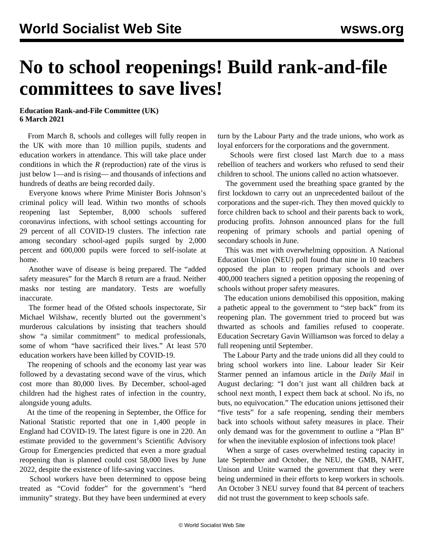## **No to school reopenings! Build rank-and-file committees to save lives!**

## **Education Rank-and-File Committee (UK) 6 March 2021**

 From March 8, schools and colleges will fully reopen in the UK with more than 10 million pupils, students and education workers in attendance. This will take place under conditions in which the *R* (reproduction) rate of the virus is just below 1—and is rising— and thousands of infections and hundreds of deaths are being recorded daily.

 Everyone knows where Prime Minister Boris Johnson's criminal policy will lead. Within two months of schools reopening last September, 8,000 schools suffered coronavirus infections, with school settings accounting for 29 percent of all COVID-19 clusters. The infection rate among secondary school-aged pupils surged by 2,000 percent and 600,000 pupils were forced to self-isolate at home.

 Another wave of disease is being prepared. The "added safety measures" for the March 8 return are a fraud. Neither masks nor testing are mandatory. Tests are woefully inaccurate.

 The former head of the Ofsted schools inspectorate, Sir Michael Wilshaw, recently blurted out the government's murderous calculations by insisting that teachers should show "a similar commitment" to medical professionals, some of whom "have sacrificed their lives." At least 570 education workers have been killed by COVID-19.

 The reopening of schools and the economy last year was followed by a devastating second wave of the virus, which cost more than 80,000 lives. By December, school-aged children had the highest rates of infection in the country, alongside young adults.

 At the time of the reopening in September, the Office for National Statistic reported that one in 1,400 people in England had COVID-19. The latest figure is one in 220. An estimate provided to the government's Scientific Advisory Group for Emergencies predicted that even a more gradual reopening than is planned could cost 58,000 lives by June 2022, despite the existence of life-saving vaccines.

 School workers have been determined to oppose being treated as "Covid fodder" for the government's "herd immunity" strategy. But they have been undermined at every turn by the Labour Party and the trade unions, who work as loyal enforcers for the corporations and the government.

 Schools were first closed last March due to a mass rebellion of teachers and workers who refused to send their children to school. The unions called no action whatsoever.

 The government used the breathing space granted by the first lockdown to carry out an unprecedented bailout of the corporations and the super-rich. They then moved quickly to force children back to school and their parents back to work, producing profits. Johnson announced plans for the full reopening of primary schools and partial opening of secondary schools in June.

 This was met with overwhelming opposition. A National Education Union (NEU) poll found that nine in 10 teachers opposed the plan to reopen primary schools and over 400,000 teachers signed a petition opposing the reopening of schools without proper safety measures.

 The education unions demobilised this opposition, making a pathetic appeal to the government to "step back" from its reopening plan. The government tried to proceed but was thwarted as schools and families refused to cooperate. Education Secretary Gavin Williamson was forced to delay a full reopening until September.

 The Labour Party and the trade unions did all they could to bring school workers into line. Labour leader Sir Keir Starmer penned an infamous article in the *Daily Mail* in August declaring: "I don't just want all children back at school next month, I expect them back at school. No ifs, no buts, no equivocation." The education unions jettisoned their "five tests" for a safe reopening, sending their members back into schools without safety measures in place. Their only demand was for the government to outline a "Plan B" for when the inevitable explosion of infections took place!

 When a surge of cases overwhelmed testing capacity in late September and October, the NEU, the GMB, NAHT, Unison and Unite warned the government that they were being undermined in their efforts to keep workers in schools. An October 3 NEU survey found that 84 percent of teachers did not trust the government to keep schools safe.